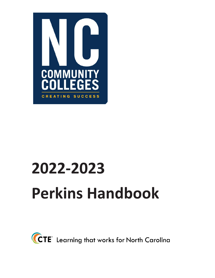

# **2022-2023 Perkins Handbook**

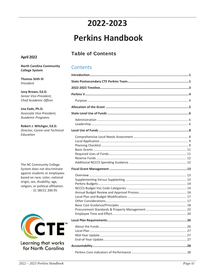# 2022-2023

# **Perkins Handbook**

# **Table of Contents**

Contents

#### April 2022

#### **North Carolina Community College System**

**Thomas Stith III** President

Levy Brown, Ed.D. Senior Vice-President, Chief Academic Officer

Lisa Eads, Ph.D. Associate Vice-President, Academic Programs

Robert J. Witchger, Ed.D. Director, Career and Technical Education

The NC Community College System does not discriminate against students or employees based on race, color, national origin, sex, disability, age, religion, or political affiliation. - 1C SBCCC 200.95



#### Learning that works for North Carolina

| Perkins Core Indicators of Performance<br>າຂ |
|----------------------------------------------|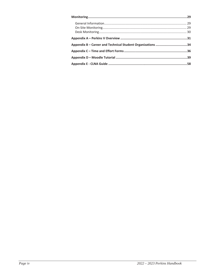| Appendix B – Career and Technical Student Organizations 34 |  |
|------------------------------------------------------------|--|
|                                                            |  |
|                                                            |  |
|                                                            |  |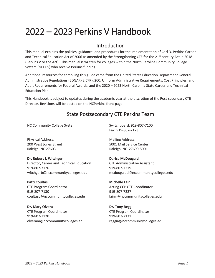# 2022 – 2023 Perkins V Handbook

### Introduction

This manual explains the policies, guidance, and procedures for the implementation of Carl D. Perkins Career and Technical Education Act of 2006 as amended by the Strengthening CTE for the  $21^{st}$  century Act in 2018 (Perkins V or the Act). This manual is written for colleges within the North Carolina Community College System (NCCCS) who receive Perkins funding.

Additional resources for compiling this guide came from the United States Education Department General Administrative Regulations (EDGAR) 2 CFR §200, Uniform Administrative Requirements, Cost Principles, and Audit Requirements for Federal Awards, and the 2020 – 2023 North Carolina State Career and Technical Education Plan.

This Handbook is subject to updates during the academic year at the discretion of the Post-secondary CTE Director. Revisions will be posted on the NCPerkins front page.

# State Postsecondary CTE Perkins Team

NC Community College System

Physical Address: 200 West Jones Street Raleigh, NC 27603

#### **Dr. Robert J. Witchger**

Director, Career and Technical Education 919-807-7126 witchgerb@nccommunitycolleges.edu

**Patti Coultas**  CTE Program Coordinator 919-807-7130 coultasp@nccommunitycolleges.edu

**Dr. Mary Olvera**  CTE Program Coordinator 919-807-7120 olveram@nccommunitycolleges.edu Switchboard: 919-807-7100 Fax: 919-807-7173

Mailing Address: 5001 Mail Service Center Raleigh, NC 27699-5001

#### **Darice McDougald**

CTE Administrative Assistant 919-807-7219 mcdougaldd@nccommunitycolleges.edu

**Michelle Lair**  Acting CCP CTE Coordinator 919-807-7227 lairm@nccommunitycolleges.edu

**Dr. Tony Reggi**  CTE Program Coordinator 919-807-7131 reggia@nccommunitycolleges.edu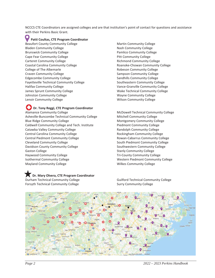NCCCS CTE Coordinators are assigned colleges and are that institution's point of contact for questions and assistance with their Perkins Basic Grant.

#### **Patti Coultas, CTE Program Coordinator**

Beaufort County Community College Bladen Community College Brunswick Community College Cape Fear Community College Carteret Community College Coastal Carolina Community College College of The Albemarle Craven Community College Edgecombe Community College Fayetteville Technical Community College Halifax Community College James Sprunt Community College Johnston Community College Lenoir Community College

**Dr. Tony Reggi, CTE Program Coordinator** Alamance Community College Asheville-Buncombe Technical Community College Blue Ridge Community College Caldwell Community College and Tech. Institute Catawba Valley Community College Central Carolina Community College Central Piedmont Community College Cleveland Community College Davidson County Community College Gaston College Haywood Community College Isothermal Community College Mayland Community College

#### **IDr. Mary Olvera, CTE Program Coordinator** Durham Technical Community College

Forsyth Technical Community College

Martin Community College Nash Community College Pamlico Community College Pitt Community College Richmond Community College Roanoke-Chowan Community College Robeson Community College Sampson Community College Sandhills Community College Southeastern Community College Vance-Granville Community College Wake Technical Community College Wayne Community College Wilson Community College

McDowell Technical Community College Mitchell Community College Montgomery Community College Piedmont Community College Randolph Community College Rockingham Community College Rowan-Cabarrus Community College South Piedmont Community College Southwestern Community College Stanly Community College Tri-County Community College Western Piedmont Community College Wilkes Community College

Guilford Technical Community College Surry Community College

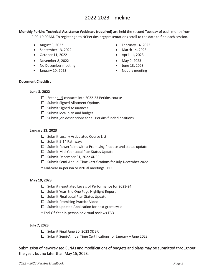# 2022-2023 Timeline

**Monthly Perkins Technical Assistance Webinars (required)** are held the second Tuesday of each month from 9:00-10:00AM. To register go to NCPerkins.org/presentations scroll to the date to find each session.

- $\bullet$  August 9, 2022
- $\bullet$  September 13, 2022
- October 11, 2022
- $\bullet$  November 8, 2022
- No December meeting
- $\bullet$  January 10, 2023
- $\bullet$  February 14, 2023
- $\bullet$  March 14, 2023
- $\bullet$  April 11, 2023
- May  $9, 2023$
- $\bullet$  June 13, 2023
- No July meeting

#### **Document Checklist**

#### **June 3, 2022**

- □ Enter all 5 contacts into 2022-23 Perkins course
- $\square$  Submit Signed Allotment Options
- $\square$  Submit Signed Assurances
- $\square$  Submit local plan and budget
- $\square$  Submit job descriptions for all Perkins funded positions

#### **January 13, 2023**

- $\square$  Submit Locally Articulated Course List
- $\Box$  Submit 9-14 Pathways
- $\square$  Submit PowerPoint with a Promising Practice and status update
- $\square$  Submit Mid-Year Local Plan Status Update
- □ Submit December 31, 2022 XDBR
- $\square$  Submit Semi-Annual Time Certifications for July-December 2022
- \* Mid-year in-person or virtual meetings TBD

#### **May 19, 2023**

- $\square$  Submit negotiated Levels of Performance for 2023-24
- $\Box$  Submit Year-End One Page Highlight Report
- $\square$  Submit Final Local Plan Status Update
- $\square$  Submit Promising Practice Video
- $\square$  Submit updated Application for next grant cycle
- \* End-Of-Year in-person or virtual reviews TBD

#### **July 7, 2023**

- $\square$  Submit Final June 30, 2023 XDBR
- $\square$  Submit Semi-Annual Time Certifications for January June 2023

#### Submission of new/revised CLNAs and modifications of budgets and plans may be submitted throughout the year, but no later than May 15, 2023.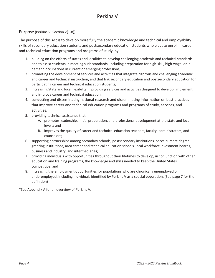# Perkins V

#### Purpose (Perkins V, Section 2(1-8))

The purpose of this Act is to develop more fully the academic knowledge and technical and employability skills of secondary education students and postsecondary education students who elect to enroll in career and technical education programs and programs of study, by—

- 1. building on the efforts of states and localities to develop challenging academic and technical standards and to assist students in meeting such standards, including preparation for high-skill, high-wage, or indemand occupations in current or emerging professions;
- 2. promoting the development of services and activities that integrate rigorous and challenging academic and career and technical instruction, and that link secondary education and postsecondary education for participating career and technical education students;
- 3. increasing State and local flexibility in providing services and activities designed to develop, implement, and improve career and technical education;
- 4. conducting and disseminating national research and disseminating information on best practices that improve career and technical education programs and programs of study, services, and activities;
- 5. providing technical assistance that --
	- A. promotes leadership, initial preparation, and professional development at the state and local levels; and
	- B. improves the quality of career and technical education teachers, faculty, administrators, and counselors;
- 6. supporting partnerships among secondary schools, postsecondary institutions, baccalaureate degree granting institutions, area career and technical education schools, local workforce investment boards, business and industry, and intermediaries;
- 7. providing individuals with opportunities throughout their lifetimes to develop, in conjunction with other education and training programs, the knowledge and skills needed to keep the United States competitive; and
- 8. increasing the employment opportunities for populations who are chronically unemployed or underemployed, including individuals identified by Perkins V as a special population. (See page 7 for the definition)

\*See Appendix A for an overview of Perkins V.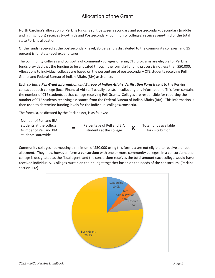# Allocation of the Grant

North Carolina's allocation of Perkins funds is split between secondary and postsecondary. Secondary (middle and high schools) receives two-thirds and Postsecondary (community colleges) receives one-third of the total state Perkins allocation.

Of the funds received at the postsecondary level, 85 percent is distributed to the community colleges, and 15 percent is for state-level expenditures.

The community colleges and consortia of community colleges offering CTE programs are eligible for Perkins funds provided that the funding to be allocated through the formula-funding process is not less than \$50,000. Allocations to individual colleges are based on the percentage of postsecondary CTE students receiving Pell Grants and Federal Bureau of Indian Affairs (BIA) assistance.

Each spring, a *Pell Grant Information and Bureau of Indian Affairs Verification Form* is sent to the Perkins contact at each college (local Financial Aid staff usually assists in collecting this information). This form contains the number of CTE students at that college receiving Pell Grants. Colleges are responsible for reporting the number of CTE students receiving assistance from the Federal Bureau of Indian Affairs (BIA). This information is then used to determine funding levels for the individual colleges/consortia.

The formula, as dictated by the Perkins Act, is as follows:

Number of Pell and BIA students at the college **Fig. 2** Percentage of Pell and BIA<br>
Number of Pell and BIA **Fig. 2** students at the college students at the college **X X** Total funds available<br>
Number of Pell and BIA **For all and BIA** for distribution students statewide

Community colleges not meeting a minimum of \$50,000 using this formula are not eligible to receive a direct allotment. They may, however, form a **consortium** with one or more community colleges. In a consortium, one college is designated as the fiscal agent, and the consortium receives the total amount each college would have received individually. Colleges must plan their budget together based on the needs of the consortium. (Perkins section 132).

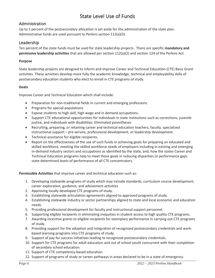# State Level Use of Funds

#### Administration

Up to 5 percent of the postsecondary allocation is set aside for the administration of the state plan. Administrative funds are used pursuant to Perkins section 112(a)(3).

#### Leadership

Ten percent of the state funds must be used for state leadership projects. There are specific **mandatory and permissive leadership activities** that are allowed per section 112(a)(2) and section 124 of the Perkins Act.

#### **Purpose**

State leadership projects are designed to inform and improve Career and Technical Education (CTE) Basic Grant activities. These activities develop more fully the academic knowledge, technical and employability skills of postsecondary education students who elect to enroll in CTE programs of study.

#### **Goals**

Improve Career and Technical Education which shall include:

- Preparation for non-traditional fields in current and emerging professions.
- Programs for special populations.
- Expose students to high skill, high wage and in demand occupations.
- Support CTE educational opportunities for individuals in state institutions such as corrections, juvenile justice, and individuals with disabilities. Eliminated parentheses
- Recruiting, preparing, or retaining career and technical education teachers, faculty, specialized instructional support – pre-service, professional development, or leadership development.
- Technical assistance for eligible recipients.
- Report on the effectiveness of the use of such funds in achieving goals for preparing an educated and skilled workforce, meeting the skilled workforce needs of employers including in existing and emerging in-demand industry sectors and occupations as identified by the state, and, how the states Career and Technical Education programs help to meet those goals in reducing disparities or performance gaps state determined levels of performance of all CTE concentrators.

**Permissible Activities** that improve career and technical education such as:

- 1. Developing statewide programs of study which may include standards, curriculum course development, career exploration, guidance, and advisement activities
- 2. Approving locally developed CTE programs of study.
- 3. Establishing statewide articulation agreements aligned to approved programs of study.
- 4. Establishing statewide industry or sector partnerships aligned to state and local economic and education needs.
- 5. Providing professional development for faculty and instructional support personnel.
- 6. Supporting eligible recipients in eliminating inequities in student access to high quality CTE programs.
- 7. Awarding incentive grants to eligible recipients for exemplary performance in carrying out CTE programs of study.
- 8. Providing support for the adoption and integration of recognized postsecondary credentials and workbased learning programs into CTE programs of study.
- 9. Support of pay for success initiatives leading to recognized postsecondary credentials.
- 10. Support for CTE programs for adult education and out of school youth concurrent with their completion of secondary school education.
- 11. Support of CTE competency-based education.
- 12. Support of programs of study or career pathways in areas declared to be in a state of emergency.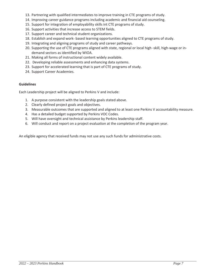- 13. Partnering with qualified intermediates to improve training in CTE programs of study.
- 14. Improving career guidance programs including academic and financial aid counseling.
- 15. Support for integration of employability skills int CTE programs of study.
- 16. Support activities that increase access to STEM fields.
- 17. Support career and technical student organizations.
- 18. Establish and expand work- based learning opportunities aligned to CTE programs of study.
- 19. Integrating and aligning programs of study and career pathways.
- 20. Supporting the use of CTE programs aligned with state, regional or local high -skill, high-wage or indemand sectors as identified by WIOA.
- 21. Making all forms of instructional content widely available.
- 22. Developing reliable assessments and enhancing data systems.
- 23. Support for accelerated learning that is part of CTE programs of study.
- 24. Support Career Academies.

#### **Guidelines**

Each Leadership project will be aligned to Perkins V and include:

- 1. A purpose consistent with the leadership goals stated above.
- 2. Clearly defined project goals and objectives.
- 3. Measurable outcomes that are supported and aligned to at least one Perkins V accountability measure.
- 4. Has a detailed budget supported by Perkins VOC Codes.
- 5. Will have oversight and technical assistance by Perkins leadership staff.
- 6. Will conduct and report on a project evaluation at the completion of the program year.

An eligible agency that received funds may not use any such funds for administrative costs.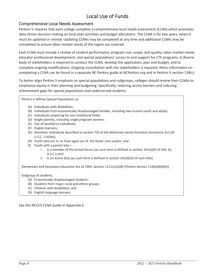# Local Use of Funds

#### Comprehensive Local Needs Assessment

Perkins V requires that each college complete a comprehensive local needs assessment (CLNA) which promotes data-driven decision making on local plan activities and budget allocations. The CLNA is for two years, when it must be updated or retired. Updating CLNAs may be completed at any time and additional CLNAs may be completed to ensure labor market needs of the region are covered.

Each CLNA must include a review of student performance; program size, scope, and quality; labor market needs; educator professional development; and special populations' access to and support for CTE programs. A diverse body of stakeholders is required to conduct the CLNA, develop the application, plan and budget, and to complete ongoing modifications. Ongoing consultation with the stakeholders is required. More information on completing a CLNA can be found in a separate NC Perkins guide at NCPerkins.org and in Perkins V section 134(c).

To better align Perkins V emphasis on special populations and subgroups, colleges should review their CLNAs to emphasize equity in their planning and budgeting. Specifically, reducing access barriers and reducing achievement gaps for special populations and underserved students.

Perkins V defines Special Populations as

- (A) Individuals with disabilities;
- (B) Individuals from economically disadvantaged families, including low-income youth and adults;
- (C) Individuals preparing for non-traditional fields;
- (D) Single-parents, including single pregnant women;
- (E) Out-of-workforce individuals;
- (F) English learners;
- (G) Homeless individuals described in section 725 of the McKinney-Vento Homeless Assistance Act (42 U.S.C. 11434a);
- (H) Youth who are in, or have aged out of, the foster care system; and
- (I) Youth with a parent who
	- i. Is a member of the armed forces (as such term is defined in section  $101(a)(4)$  of title 10, U.S.C.); and
	- ii. Is on active duty (as such term is defined in section  $101(d)(10$  of such title).

Elementary and Secondary Education Act of 1965, Section 1111(c)(2)(B) [Perkins Section 114(e)(8)(B)(i)]

Subgroup of students.

- (A) Economically disadvantaged students;
- (B) Students from major racial and ethnic groups;
- (C) Children with disabilities; and
- (D) English language learners.

See the NCCCS CLNA Guide in Appendix E.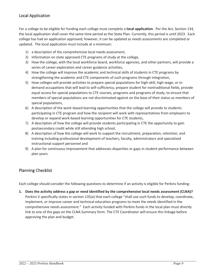#### Local Application

For a college to be eligible for funding each college must complete a **local application**. Per the Act, Section 134, the local application shall cover the same time period as the State Plan. Currently, this period is until 2023. Each college has had an application approved; however, it can be updated as needs assessments are completed or updated. The local application must include at a minimum:

- 1) a description of the comprehensive local needs assessment,
- 2) Information on state approved CTE programs of study at the college,
- 3) How the college, with the local workforce board, workforce agencies, and other partners, will provide a series of career exploration and career guidance activities,
- 4) How the college will improve the academic and technical skills of students in CTE programs by strengthening the academic and CTE components of such programs through integration,
- 5) How colleges will provide activities to prepare special populations for high-skill, high-wage, or indemand occupations that will lead to self-sufficiency, prepare student for nontraditional fields, provide equal access for special populations to CTE courses, programs and programs of study, to ensure that members of special populations are not discriminated against on the base of their status as members of special populations,
- 6) A description of the work–based learning opportunities that the college will provide to students participating in CTE program and how the recipient will work with representatives from employers to develop or expand work-based learning opportunities for CTE students,
- 7) A description of how the college will provide students participating in CTE the opportunity to gain postsecondary credit while still attending high school,
- 8) A description of how the college will work to support the recruitment, preparation, retention, and training including professional development of teachers, faculty, administrators and specialized instructional support personnel and
- 9) A plan for continuous improvement that addresses disparities or gaps in student performance between plan years.

#### Planning Checklist

Each college should consider the following questions to determine if an activity is eligible for Perkins funding:

**1. Does the activity address a gap or need identified by the comprehensive local needs assessment (CLNA)?**  Perkins V specifically states in section 135(a) that each college "shall use such funds to develop, coordinate, implement, or improve career and technical education programs to meet the needs identified in the comprehensive needs assessment." Each activity funded with Perkins funds in the local plan must directly link to one of the gaps on the CLNA Summary form. The CTE Coordinator will ensure this linkage before approving the plan and budget.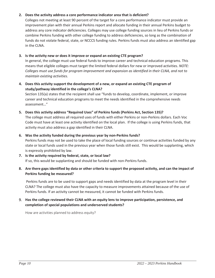#### **2. Does the activity address a core performance indicator area that is deficient?**

Colleges not meeting at least 90 percent of the target for a core performance indicator must provide an improvement plan with their annual Perkins report and allocate funding in their annual Perkins budget to address any core indicator deficiencies. Colleges may use college funding sources in lieu of Perkins funds or combine Perkins funding with other college funding to address deficiencies, so long as the combination of funds do not violate federal, state, or NCCCS funding rules. Perkins funds must also address an identified gap in the CLNA.

#### **3. Is the activity new or does it improve or expand an existing CTE program?**

In general, the college must use federal funds to improve career and technical education programs. This means that eligible colleges must target the limited federal dollars for new or improved activities. *NOTE: Colleges must use funds for program improvement and expansion as identified in their CLNA, and not to maintain existing activities.* 

#### **4. Does this activity support the development of a new, or expand an existing CTE program of study/pathway identified in the college's CLNA?**

Section 135(a) states that the recipient shall use "funds to develop, coordinate, implement, or improve career and technical education programs to meet the needs identified in the comprehensive needs assessment…"

#### **5. Does this activity address "Required Uses" of Perkins funds (Perkins Act, Section 135)?**

The college must address all required uses of funds with either Perkins or non-Perkins dollars. Each Voc Code must have at least one activity identified on the local plan. If the college is using Perkins funds, that activity must also address a gap identified in their CLNA.

#### **6. Was the activity funded during the previous year by non-Perkins funds?**

Perkins funds may not be used to take the place of local funding sources or continue activities funded by any state or local funds used in the previous year when those funds still exist. This would be supplanting, which is expressly prohibited by law.

#### **7. Is the activity required by federal, state, or local law?** If so, this would be supplanting and should be funded with non-Perkins funds.

#### **8. Are there gaps identified by data or other criteria to support the proposed activity, and can the impact of Perkins funding be measured?**

 Perkins funds are to be used to support gaps and needs identified by data at the program level in their CLNA? The college must also have the capacity to measure improvements attained because of the use of Perkins funds. If an activity cannot be measured, it cannot be funded with Perkins funds.

#### 9. **Has the college reviewed their CLNA with an equity lens to improve participation, persistence, and completion of special populations and underserved students?**

How are activities planned to address equity?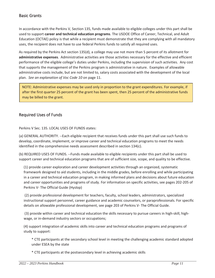#### Basic Grants

In accordance with the Perkins V, Section 135, funds made available to eligible colleges under this part shall be used to support **career and technical education programs**. The USDOE Office of Career, Technical, and Adult Education (OCTAE) policy is that while a recipient must demonstrate that they are complying with all mandatory uses, the recipient does not have to use federal Perkins funds to satisfy all required uses.

As required by the Perkins Act section 135(d), a college may use not more than 5 percent of its allotment for **administrative expenses**. Administrative activities are those activities necessary for the effective and efficient performance of the eligible college's duties under Perkins, including the supervision of such activities. Any cost that supports the management of the Perkins program is administrative in nature. Examples of allowable administrative costs include, but are not limited to, salary costs associated with the development of the local plan. *See an explanation of Voc Code 10* on page 11.

NOTE: Administrative expenses may be used only in proportion to the grant expenditures. For example, if after the first quarter 25 percent of the grant has been spent, then 25 percent of the administrative funds may be billed to the grant.

#### Required Uses of Funds

Perkins V Sec. 135. LOCAL USES OF FUNDS states:

(a) GENERAL AUTHORITY. --Each eligible recipient that receives funds under this part shall use such funds to develop, coordinate, implement, or improve career and technical education programs to meet the needs identified in the comprehensive needs assessment described in section 134(c).

(b) REQUIRED USES OF FUNDS. --Funds made available to eligible recipients under this part shall be used to support career and technical education programs that are of sufficient size, scope, and quality to be effective.

(1) provide career exploration and career development activities through an organized, systematic framework designed to aid students, including in the middle grades, before enrolling and while participating in a career and technical education program, in making informed plans and decisions about future education and career opportunities and programs of study. For information on specific activities, see pages 202-205 of Perkins V- The Official Guide (Hyslop)

 (2) provide professional development for teachers, faculty, school leaders, administrators, specialized instructional support personnel, career guidance and academic counselors, or paraprofessionals. For specific details on allowable professional development, see page 203 of Perkins V- The Official Guide.

 (3) provide within career and technical education the skills necessary to pursue careers in high-skill, highwage, or in-demand industry sectors or occupations;

(4) support integration of academic skills into career and technical education programs and programs of study to support:

\* CTE participants at the secondary school level in meeting the challenging academic standard adopted under ESEA by the state

\* CTE participants at the postsecondary level in achieving academic skills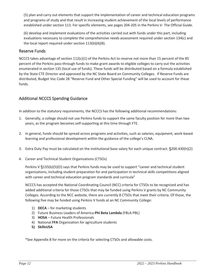(5) plan and carry out elements that support the implementation of career and technical education programs and programs of study and that result in increasing student achievement of the local levels of performance established under section 113. For specific elements, see pages 204-205 in the Perkins V- The Official Guide.

(6) develop and implement evaluations of the activities carried out with funds under this part, including evaluations necessary to complete the comprehensive needs assessment required under section 134(c) and the local report required under section 113(b)(4)(B).

#### Reserve Funds

NCCCS takes advantage of section 112(c)(1) of the Perkins Act to reserve not more than 15 percent of the 85 percent of the Perkins pass-through funds to make grant awards to eligible colleges to carry out the activities enumerated in section 135 (local use of funds). These funds will be distributed based on a formula established by the State CTE Director and approved by the NC State Board on Community Colleges. If Reserve Funds are distributed, Budget Voc Code 28 "Reserve Fund and Other Special Funding" will be used to account for these funds.

#### Additional NCCCS Spending Guidance

In addition to the statutory requirements, the NCCCS has the following additional recommendations:

- 1. Generally, a college should not use Perkins funds to support the same faculty position for more than two years, as the program becomes self-supporting at this time through FTE.
- 2. In general, funds should be spread across programs and activities, such as salaries, equipment, work-based learning and professional development within the guidance of the college's CLNA.
- 3. Extra Duty Pay must be calculated on the institutional base salary for each unique contract. §200.430(h)(2)
- 4. Career and Technical Student Organizations (CTSOs)

Perkins V §135(b)(5)(O) says that Perkins funds may be used to support "career and technical student organizations, including student preparation for and participation in technical skills competitions aligned with career and technical education program standards and curricula"

NCCCS has accepted the National Coordinating Council (NCC) criteria for CTSOs to be recognized and has added additional criteria for those CTSOs that may be funded using Perkins V grants by NC Community Colleges. According to the NCC website, there are currently 8 CTSOs that meet their criteria. Of those, the following five may be funded using Perkins V funds at an NC Community College:

- 1) **DECA** for marketing students
- 2) Future Business Leaders of America-**Phi Beta Lambda** (FBLA-PBL)
- 3) **HOSA** Future Health Professionals
- 4) National **FFA** Organization for agriculture students
- **5) SkillsUSA**

\*See Appendix B for more on the criteria for selecting CTSOs and allowable costs.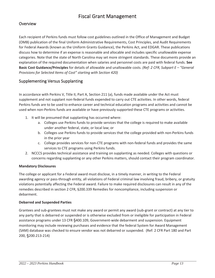# Fiscal Grant Management

#### Overview

Each recipient of Perkins funds must follow cost guidelines outlined in the Office of Management and Budget (OMB) publication of the final Uniform Administrative Requirements, Cost Principles, and Audit Requirements for Federal Awards (known as the Uniform Grants Guidance), the Perkins Act, and EDGAR. These publications discuss how to determine if an expense is reasonable and allocable and includes specific unallowable expense categories. Note that the state of North Carolina may set more stringent standards. These documents provide an explanation of the required documentation when salaries and personnel costs are paid with federal funds. **See Basic Cost Guidance/Principles** for details of allowable and unallowable costs. *(Ref: 2 CFR, Subpart E – "General Provisions for Selected Items of Cost" starting with Section 420)*

#### Supplementing Versus Supplanting

In accordance with Perkins V, Title II, Part A, Section 211 (a), funds made available under the Act must supplement and not supplant non-federal funds expended to carry out CTE activities. In other words, federal Perkins funds are to be used to enhance career and technical education programs and activities and cannot be used when non-Perkins funds are available or have previously supported these CTE programs or activities.

- 1. It will be presumed that supplanting has occurred where:
	- a. Colleges use Perkins funds to provide services that the college is required to make available under another federal, state, or local law; or
	- b. Colleges use Perkins funds to provide services that the college provided with non-Perkins funds in the prior year
	- c. College provides services for non-CTE programs with non-federal funds and provides the same services to CTE programs using Perkins funds.
- 2. NCCCS provides technical assistance and training on supplanting as needed. Colleges with questions or concerns regarding supplanting or any other Perkins matters, should contact their program coordinator.

#### **Mandatory Disclosures**

The college or applicant for a Federal award must disclose, in a timely manner, in writing to the Federal awarding agency or pass-through entity, all violations of Federal criminal law involving fraud, bribery, or gratuity violations potentially affecting the Federal award. Failure to make required disclosures can result in any of the remedies described in section 2 CFR, §200.339 Remedies for noncompliance, including suspension or debarment.

#### **Debarred and Suspended Parties**

Grantees and sub-grantees must not make any award or permit any award (sub-grant or contract) at any tier to any party that is debarred or suspended or is otherwise excluded from or ineligible for participation in Federal assistance programs under 13 CFR §400.109, Government-wide debarment and suspension. Equipment monitoring may include reviewing purchases and evidence that the federal System for Award Management (SAM) database was checked to ensure vendor was not debarred or suspended. (Ref: 2 CFR Part 180 and Part 200, §200.213-214)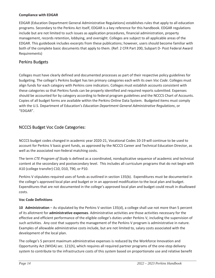#### **Compliance with EDGAR**

EDGAR (Education Department General Administrative Regulations) establishes rules that apply to all education programs. Secondary to the Perkins Act itself, EDGAR is a key reference for this handbook. EDGAR regulations include but are not limited to such issues as application procedures, financial administration, property management, records retention, lobbying, and oversight. Colleges are subject to all applicable areas of the EDGAR. This guidebook includes excerpts from these publications; however, users should become familiar with both of the complete basic documents that apply to them. (Ref: 2 CFR Part 200, Subpart D- Post Federal Award Requirements)

#### Perkins Budgets

Colleges must have clearly defined and documented processes as part of their respective policy guidelines for budgeting. The college's Perkins budget has ten primary categories each with its own *Voc Code*. Colleges must align funds for each category with Perkins core indicators. Colleges must establish accounts consistent with these categories so that Perkins funds can be properly identified and required reports submitted. Expenses should be accounted for by category according to federal program guidelines and the NCCCS Chart of Accounts. Copies of all budget forms are available within the Perkins Online Data System. Budgeted items must comply with the U.S. Department of Education's *Education Department General Administrative Regulations*, or "EDGAR".

#### NCCCS Budget Voc Code Categories:

NCCCS budget codes changed in academic year 2020-21, Vocational Codes 10-19 will continue to be used to account for Perkins V basic grant funds, as approved by the NCCCS Career and Technical Education Director, as well as the associated non-federal matching costs.

The term *CTE Program of Study* is defined as a coordinated, nonduplicative sequence of academic and technical content at the secondary and postsecondary level. This includes all curriculum programs that do not begin with A10 (college transfer) C10, D10, T90, or P10.

Perkins V stipulates required uses of funds as outlined in section 135(b). Expenditures must be documented in the college's approved local plan and budget or in an approved modification to the local plan and budget. Expenditures that are not documented in the college's approved local plan and budget could result in disallowed costs.

#### **Voc Code Definitions**

**10 Administration** – As stipulated by the Perkins V section 135(d), a college shall use not more than 5 percent of its allotment for **administrative expenses**. Administrative activities are those activities necessary for the effective and efficient performance of the eligible college's duties under Perkins V, including the supervision of such activities. Any cost that supports the management of the Perkins V program is administrative in nature. Examples of allowable administrative costs include, but are not limited to, salary costs associated with the development of the local plan.

The college's 5 percent maximum administrative expenses is reduced by the Workforce Innovation and Opportunity Act (WIOA) sec. 121(h), which requires all required partner programs of the one-stop delivery system to contribute to the infrastructure costs of this system based on proportionate use and relative benefit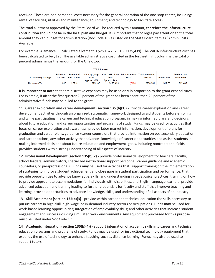received. These are non-personnel costs necessary for the general operation of the one-stop center, including: rental of facilities; utilities and maintenance; equipment; and technology to facilitate access.

The total allotment approved by the State Board will be reduced by this amount, **therefore the infrastructure contribution should not be in the local plan and budget**. It is important that colleges pay attention to the total amount they can budget for administration (Voc Code 10) as listed on the State Board item as "Admin Costs Available)

For example: Alamance CC calculated allotment is \$250,627 (75,188+175,439). The WIOA infrastructure cost has been calculated to be \$126. The available administrative cost listed in the furthest right column is the total 5 percent admin minus the amount for the One-Stop.

|                          |        |                    | <b>CTE Allotment</b>                                                                   |             |                    |           |            |                    |
|--------------------------|--------|--------------------|----------------------------------------------------------------------------------------|-------------|--------------------|-----------|------------|--------------------|
|                          |        |                    | Pell Grant Percent of July, Aug., Sept. Oct. 2018- June Infrastructure Total Allotment |             |                    |           |            | <b>Admin Costs</b> |
| <b>Community College</b> | Awards | <b>Pell Grants</b> | 2019                                                                                   | 2020        | Costs <sup>^</sup> | 2019-20   | Admin - 5% | <b>Availalble</b>  |
|                          |        |                    | Approx. 30%                                                                            | Approx. 70% |                    |           |            |                    |
| Alamance CC              | 800    | 1.87%              | \$75.188                                                                               | \$175.439   | \$126)             | \$250,501 | \$12,531   | \$12,405           |

**It is important to note** that administrative expenses may be used only in proportion to the grant expenditures. For example, if after the first quarter 25 percent of the grant has been spent, then 25 percent of the administrative funds may be billed to the grant.

**11 Career exploration and career development** (**section 135 (b)(1)) -** Provide career exploration and career development activities through an organized, systematic framework designed to aid students before enrolling and while participating in a career and technical education program, in making informed plans and decisions about future education and career opportunities and programs of study. Funds **may** be used for activities that: focus on career exploration and awareness, provide labor market information, development of plans for graduation and career plans, guidance /career counselors that provide information on postsecondary education and career options, any other activity that advances knowledge of career opportunities and assists students in making informed decisions about future education and employment goals, including nontraditional fields, provides students with a strong understanding of all aspects of industry.

**12 Professional Development (section 135(b)(2) -** provide professional development for teachers, faculty, school leaders, administrators, specialized instructional support personnel, career guidance and academic counselors, or paraprofessionals. Funds **may** be used for activities that: support training on the implementation of strategies to improve student achievement and close gaps in student participation and performance; that provide opportunities to advance knowledge, skills, and understanding in pedagogical practices; training on how to provide appropriate accommodations for individuals with disabilities, and English language learners; provide advanced education and training leading to further credentials for faculty and staff that improve teaching and learning, provide opportunities to advance knowledge, skills, and understanding of all aspects of an industry.

**13 Skill Attainment (section 135(b)(3)** - provide within career and technical education the skills necessary to pursue careers in high-skill, high-wage, or in-demand industry sectors or occupations. Funds **may** be used for work-based learning opportunities; integration of employability skills; and other activities that increase student engagement and success including simulated work environments. Any equipment purchased for this purpose must be listed under Voc Code 17.

**14 Academic Integration (section 135(b)(4))** - support integration of academic skills into career and technical education programs and programs of study. Funds may be used for instructional technology equipment that expands the use of technology to enhance teaching such as distance learning. Funds may also be used to support tutors.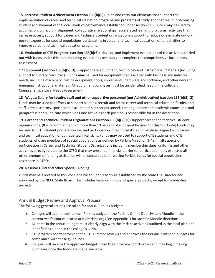**15 Increase Student Achievement (section 135(b)(5))** - plan and carry out elements that support the implementation of career and technical education programs and programs of study and that result in increasing student achievement of the local levels of performance established under section 113. Funds **may** be used for activities on: curriculum alignment; collaborative relationships; accelerated learning programs; activities that increase access; support for career and technical student organizations; support to reduce or eliminate out-ofpocket expenses for special populations participating in career and technical education; other activities to improve career and technical education programs.

**16 Evaluation of CTE Programs (section 135(b)(6))** -develop and implement evaluations of the activities carried out with funds under this part, including evaluations necessary to complete the comprehensive local needs assessment.

**17 Equipment (section 135(b)(5)(D)) –** appropriate equipment, technology and instructional materials (including support for library resources). Funds **may** be used for equipment that is aligned with business and industry needs, including machinery, testing equipment, tools, implements, hardware and software, and other new and emerging instructional materials. All equipment purchases must be an identified need in the college's Comprehensive Local Needs Assessment.

**18 Wages: Salary for faculty, staff and other supportive personnel (not Administrative) (section 135(b)(5)(G))**  Funds **may** be used for efforts to support salaries, recruit and retain career and technical education faculty, and staff, administrators, specialized instructional support personnel, career guidance and academic counselors and paraprofessionals. Indicate which Voc Code activities each position is responsible for in the description.

**19 Career and Technical Student Organizations (section 135(b)(5)(O))** support career and technical student organizations. (It is recommended not more than 10 percent of allotment be used for this Voc Code) Funds **may**  be used for CTE student preparation for, and participation in technical skills competitions aligned with career and technical education or upgrade technical skills. Funds **may** be used to support CTE students and CTE students who are members of special populations as defined by Perkins V section 3(48) in all aspects of participation in Career and Technical Student Organizations including membership dues, uniforms and other activities directly related to the CTSO that may present a financial barrier for participation. It is expected all other avenues of funding assistance will be exhausted before using Perkins funds for special populations assistance in CTSOs.

#### **28 Reserve Fund and other Special Funding**

Funds may be allocated to this Voc Code based upon a formula established by the State CTE Director and approved by the NCCC State Board. This includes Reserve Funds and special projects, except for leadership projects.

#### Annual Budget Review and Approval Process

The following general actions are taken for annual Perkins budgets:

- 1. Colleges will submit their annual Perkins budget in the Perkins Online Data System Moodle in the current year's course located at NCPerkins.org (See Appendix D for specific Moodle directions)
- 2. All items in the annual budget must clearly align with the Perkins activities outlined in the local plan and identified as a need in the college's CLNA.
- 3. CTE program coordinators and the CTE Director reviews and approves the Perkins plans and budgets for compliance with these guidelines.
- 4. Colleges will receive the approved budgets from their program coordinators and may begin making purchases once the funds are made available.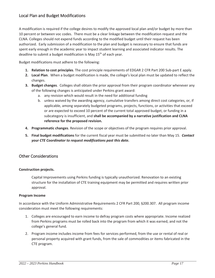#### Local Plan and Budget Modifications

A modification is required if the college desires to modify the approved local plan and/or budget by more than 10 percent or between voc codes. There must be a clear linkage between the modification request and the CLNA. Colleges should not expend funds according to the modified budget until their request has been authorized. Early submission of a modification to the plan and budget is necessary to ensure that funds are spent early enough in the academic year to impact student learning and associated indicator results. The deadline to submit a budget modification is May 15<sup>th</sup> of each year.

Budget modifications must adhere to the following:

- **1. Relation to cost principles**. The cost principle requirements of EDGAR 2 CFR Part 200 Sub-part E apply.
- **2. Local Plan**. When a budget modification is made, the college's local plan must be updated to reflect the changes.
- **3. Budget changes**. Colleges shall obtain the prior approval from their program coordinator whenever any of the following changes is anticipated under Perkins grant award:
	- a. any revision which would result in the need for additional funding
	- b. unless waived by the awarding agency, cumulative transfers among direct cost categories, or, if applicable, among separately budgeted programs, projects, functions, or activities that exceed or are expected to exceed 10 percent of the current total approved budget, or funding in a subcategory is insufficient, and **shall be accompanied by a narrative justification and CLNA reference for the proposed revision.**
- **4. Programmatic changes**. Revision of the scope or objectives of the program requires prior approval.
- **5. Final budget modifications** for the current fiscal year must be submitted no later than May 15. *Contact your CTE Coordinator to request modifications past this date.*

#### Other Considerations

#### **Construction projects.**

Capital Improvements using Perkins funding is typically unauthorized. Renovation to an existing structure for the installation of CTE training equipment may be permitted and requires written prior approval.

#### **Program Income**

In accordance with the Uniform Administrative Requirements 2 CFR Part 200, §200.307. All program income consideration must meet the following requirements:

- 1. Colleges are encouraged to earn income to defray program costs where appropriate. Income realized from Perkins programs must be rolled back into the program from which it was earned, and not the college's general fund.
- 2. Program income includes income from fees for services performed, from the use or rental of real or personal property acquired with grant funds, from the sale of commodities or items fabricated in the CTE program.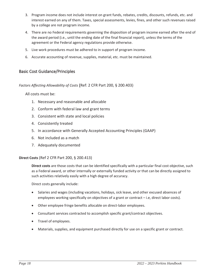- 3. Program income does not include interest on grant funds, rebates, credits, discounts, refunds, etc. and interest earned on any of them. Taxes, special assessments, levies, fines, and other such revenues raised by a college are not program income.
- 4. There are no Federal requirements governing the disposition of program income earned after the end of the award period (i.e., until the ending date of the final financial report), unless the terms of the agreement or the Federal agency regulations provide otherwise.
- 5. Live work procedures must be adhered to in support of program income.
- 6. Accurate accounting of revenue, supplies, material, etc. must be maintained.

#### Basic Cost Guidance/Principles

*Factors Affecting Allowability of Costs* (Ref: 2 CFR Part 200, § 200.403)

All costs must be:

- 1. Necessary and reasonable and allocable
- 2. Conform with federal law and grant terms
- 3. Consistent with state and local policies
- 4. Consistently treated
- 5. In accordance with Generally Accepted Accounting Principles (GAAP)
- 6. Not included as a match
- 7. Adequately documented

**Direct Costs** (Ref 2 CFR Part 200, § 200.413)

**Direct costs** are those costs that can be identified specifically with a particular final cost objective, such as a Federal award, or other internally or externally funded activity or that can be directly assigned to such activities relatively easily with a high degree of accuracy.

Direct costs generally include:

- Salaries and wages (including vacations, holidays, sick leave, and other excused absences of employees working specifically on objectives of a grant or contract – i.e, direct labor costs).
- Other employee fringe benefits allocable on direct-labor employees.
- Consultant services contracted to accomplish specific grant/contract objectives.
- Travel of employees.
- Materials, supplies, and equipment purchased directly for use on a specific grant or contract.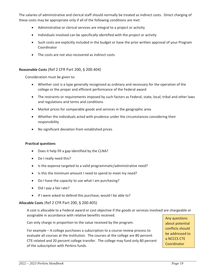The salaries of administrative and clerical staff should normally be treated as indirect costs. Direct charging of these costs may be appropriate only if all of the following conditions are met:

- Administrative or clerical services are integral to a project or activity
- Individuals involved can be specifically identified with the project or activity
- Such costs are explicitly included in the budget or have the prior written approval of your Program Coordinator
- $\bullet$  The costs are not also recovered as indirect costs

#### **Reasonable Costs** (Ref 2 CFR Part 200, § 200.404)

Consideration must be given to:

- Whether cost is a type generally recognized as ordinary and necessary for the operation of the college or the proper and efficient performance of the Federal award
- The restraints or requirements imposed by such factors as Federal, state, local, tribal and other laws and regulations and terms and conditions
- Market prices for comparable goods and services in the geographic area
- Whether the individuals acted with prudence under the circumstances considering their responsibility
- No significant deviation from established prices

#### **Practical questions**

- Does it help fill a gap identified by the CLNA?
- Do I really need this?
- Is the expense targeted to a valid programmatic/administrative need?
- Is this the minimum amount I need to spend to meet my need?
- Do I have the capacity to use what I am purchasing?
- $\bullet$  Did I pay a fair rate?
- If I were asked to defend this purchase, would I be able to?

#### **Allocable Costs** (Ref 2 CFR Part 200, § 200.405)

A cost is allocable to a Federal award or cost objective if the goods or services involved are chargeable or assignable in accordance with relative benefits received.

Can only charge in proportion to the value received by the program.

For example – A college purchases a subscription to a course review process to evaluate all courses at the institution. The courses at the college are 80 percent CTE-related and 20 percent college transfer. The college may fund only 80 percent of the subscription with Perkins funds.

Any questions about potential conflicts should be addressed to a NCCCS CTE **Coordinator**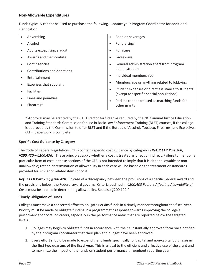#### **Non-Allowable Expenditures**

Funds typically cannot be used to purchase the following. Contact your Program Coordinator for additional clarification.

| Advertising                 | $\bullet$ | Food or beverages                                                                              |
|-----------------------------|-----------|------------------------------------------------------------------------------------------------|
| Alcohol                     | $\bullet$ | Fundraising                                                                                    |
| Audits except single audit  | $\bullet$ | Furniture                                                                                      |
| Awards and memorabilia      | $\bullet$ | Giveaways                                                                                      |
| Contingencies               | $\bullet$ | General administration apart from program                                                      |
| Contributions and donations |           | administration                                                                                 |
| Entertainment               | $\bullet$ | Individual memberships                                                                         |
| Expenses that supplant      | $\bullet$ | Memberships or anything related to lobbying                                                    |
| <b>Facilities</b>           | $\bullet$ | Student expenses or direct assistance to students<br>(except for specific special populations) |
| Fines and penalties         | $\bullet$ | Perkins cannot be used as matching funds for                                                   |
| Firearms*                   |           | other grants                                                                                   |

\* Approval may be granted by the CTE Director for firearms required by the NC Criminal Justice Education and Training Standards Commission for use in Basic Law Enforcement Training (BLET) courses, if the college is approved by the Commission to offer BLET and if the Bureau of Alcohol, Tobacco, Firearms, and Explosives (ATF) paperwork is complete.

#### **Specific Cost Guidance by Category**

The Code of Federal Regulations (CFR) contains specific cost guidance by category in *Ref: 2 CFR Part 200, §200.420 – §200.476.* These principles apply whether a cost is treated as direct or indirect. Failure to mention a particular item of cost in these sections of the CFR is not intended to imply that it is either allowable or nonunallowable; rather, determination of allowability in each case will be based on the treatment or standards provided for similar or related items of cost.

*Ref: 2 CFR Part 200, §200.420,* "In case of a discrepancy between the provisions of a specific Federal award and the provisions below, the Federal award governs. Criteria outlined in *§200.403 Factors Affecting Allowability of Costs* must be applied in determining allowability. See also §200.102."

#### **Timely Obligation of Funds**

Colleges must make a concerted effort to obligate Perkins funds in a timely manner throughout the fiscal year. Priority must be made to obligate funding in a programmatic response towards improving the college's performance for core indicators, especially in the performance areas that are reported below the targeted levels.

- 1. Colleges may begin to obligate funds in accordance with their substantially approved form once notified by their program coordinator that their plan and budget have been approved.
- 2. Every effort should be made to expend grant funds specifically for capital and non-capital purchases in the **first two quarters of the fiscal year**. This is critical to the efficient and effective use of the grant and to maximize the impact of the funds on student performance throughout reporting year.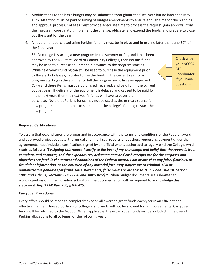- 3. Modifications to the basic budget may be submitted throughout the fiscal year but no later than May 15th. Attention must be paid to timing of budget amendments to ensure enough time for the planning and approval process. Colleges must provide adequate time to process the request, gain approval from their program coordinator, implement the change, obligate, and expend the funds, and prepare to close out the grant for the year.
- 4. All equipment purchased using Perkins funding must be **in place and in use**, no later than June 30th of the fiscal year.

\*\* If a college is starting a **new program** in the summer or fall, and it has been approved by the NC State Board of Community Colleges, then Perkins funds may be used to purchase equipment in advance to the program starting. While next year's funding can still be used to purchase the equipment prior to the start of classes, in order to use the funds in the current year for a program starting in the summer or fall the program must have an approved CLNA and these items must be purchased, received, and paid for in the current budget year. If delivery of the equipment is delayed and caused to be paid for in the next year, then the next year's funds will have to cover the purchase. Note that Perkins funds may not be used as the primary source for new program equipment, but to supplement the college's funding to start the new program.



#### **Required Certifications**

To assure that expenditures are proper and in accordance with the terms and conditions of the Federal award and approved project budgets, the annual and final fiscal reports or vouchers requesting payment under the agreements must include a certification, signed by an official who is authorized to legally bind the College, which reads as follows*: "By signing this report, I certify to the best of my knowledge and belief that the report is true, complete, and accurate, and the expenditures, disbursements and cash receipts are for the purposes and objectives set forth in the terms and conditions of the Federal award. I am aware that any false, fictitious, or fraudulent information, or the omission of any material fact, may subject me to criminal, civil or administrative penalties for fraud, false statements, false claims or otherwise. (U.S. Code Title 18, Section 1001 and Title 31, Sections 3729-3730 and 3801-3812)."* When budget documents are submitted to www.ncperkins.org, the individual submitting the documentation will be required to acknowledge this statement. *Ref: 2 CFR Part 200, §200.415.*

#### **Carryover Procedures**

Every effort should be made to completely expend all awarded grant funds each year in an efficient and effective manner. Unused portions of college grant funds will not be allowed for reimbursements. Carryover funds will be returned to the NCCCS. When applicable, these carryover funds will be included in the overall Perkins allocations to all colleges for the following year.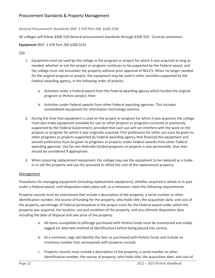#### Procurement Standards & Property Management

#### *General Procurement Standards (Ref: 2 CFR Part 200, §200.318)*

All colleges will follow §200.318 General procurement standards through §200.326 - Contract provisions.

#### **Equipment** (REF: 2 CFR Part 200 §200.313)

Use

- 1. Equipment must be used by the college in the program or project for which it was acquired as long as needed, whether or not the project or program continues to be supported by the Federal award, and the college must not encumber the property without prior approval of NCCCS. When no longer needed for the original program or project, the equipment may be used in other activities supported by the Federal awarding agency, in the following order of priority:
	- a. Activities under a Federal award from the Federal awarding agency which funded the original program or Perkins project, then
	- b. Activities under Federal awards from other Federal awarding agencies. This includes consolidated equipment for information technology systems.
- 2. During the time that equipment is used on the project or program for which it was acquired, the college must also make equipment available for use on other projects or programs currently or previously supported by the Federal Government, provided that such use will not interfere with the work on the projects or program for which it was originally acquired. First preference for other use must be given to other programs or projects supported by Federal awarding agency that financed the equipment and second preference must be given to programs or projects under Federal awards from other Federal awarding agencies. Use for non-federally funded programs or projects is also permissible. User fees should be considered if appropriate.
- 3. When acquiring replacement equipment, the college may use the equipment to be replaced as a tradein or sell the property and use the proceeds to offset the cost of the replacement property.

#### Management

Procedures for managing equipment (including replacement equipment), whether acquired in whole or in part under a Federal award, until disposition takes place will, as a minimum, meet the following requirements:

Property records must be maintained that include a description of the property, a serial number or other identification number, the source of funding for the property, who holds title, the acquisition date, and cost of the property, percentage of Federal participation in the project costs for the Federal award under which the property was acquired, the location, use and condition of the property, and any ultimate disposition data including the date of disposal and sale price of the property.

- a. All items susceptible to pilferage purchased with Perkins funds must be inventoried and visibly tagged (or alternate method of identification) before being placed into service.
- b. At a minimum, tags will identify the item as purchased with Perkins funds and include an inventory number that corresponds with property records.
- c. Property records must include a description of the property, a serial number or other identification number, the source of property, who holds title, the acquisition date, and cost of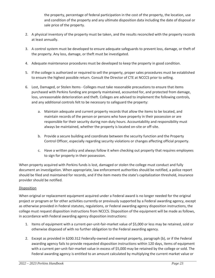the property, percentage of federal participation in the cost of the property, the location, use and condition of the property and any ultimate disposition data including the date of disposal or sale price of the property.

- 2. A physical inventory of the property must be taken, and the results reconciled with the property records at least annually.
- 3. A control system must be developed to ensure adequate safeguards to prevent loss, damage, or theft of the property. Any loss, damage, or theft must be investigated.
- 4. Adequate maintenance procedures must be developed to keep the property in good condition.
- 5. If the college is authorized or required to sell the property, proper sales procedures must be established to ensure the highest possible return. Consult the Director of CTE at NCCCS prior to selling.
- 6. Lost, Damaged, or Stolen Items Colleges must take reasonable precautions to ensure that items purchased with Perkins funding are properly maintained, accounted for, and protected from damage, loss, unreasonable deterioration and theft. Colleges are advised to implement the following controls, and any additional controls felt to be necessary to safeguard the property:
	- a. Maintain adequate and current property records that allow the items to be located, and maintain records of the person or persons who have property in their possession or are responsible for their security during non-duty hours. Accountability and responsibility must always be maintained, whether the property is located on-site or off-site.
	- b. Provide a secure building and coordinate between the security function and the Property Control Officer, especially regarding security violations or changes affecting official property.
	- c. Have a written policy and always follow it when checking out property that requires employees to sign for property in their possession.

When property acquired with Perkins funds is lost, damaged or stolen the college must conduct and fully document an investigation. When appropriate, law enforcement authorities should be notified, a police report should be filed and maintained for records, and if the item meets the state's capitalization threshold, insurance provider should be notified.

#### Disposition

When original or replacement equipment acquired under a Federal award is no longer needed for the original project or program or for other activities currently or previously supported by a Federal awarding agency, except as otherwise provided in Federal statutes, regulations, or Federal awarding agency disposition instructions, the college must request disposition instructions from NCCCS. Disposition of the equipment will be made as follows, in accordance with Federal awarding agency disposition instructions:

- 1. Items of equipment with a current-per-unit-fair-market value of \$5,000 or less may be retained, sold or otherwise disposed of with no further obligation to the Federal awarding agency.
- 2. Except as provided in §200.312 Federally-owned and exempt property, paragraph (b), or if the Federal awarding agency fails to provide requested disposition instructions within 120 days, items of equipment with a current per-unit-fair-market value in excess of \$5,000 may be retained by the college or sold. The Federal awarding agency is entitled to an amount calculated by multiplying the current market value or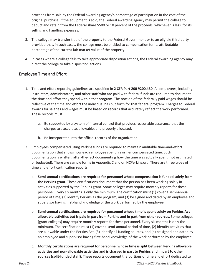proceeds from sale by the Federal awarding agency's percentage of participation in the cost of the original purchase. If the equipment is sold, the Federal awarding agency may permit the college to deduct and retain from the Federal share \$500 or 10 percent of the proceeds, whichever is less, for its selling and handling expenses.

- 3. The college may transfer title of the property to the Federal Government or to an eligible third party provided that, in such cases, the college must be entitled to compensation for its attributable percentage of the current fair market value of the property.
- 4. In cases where a college fails to take appropriate disposition actions, the Federal awarding agency may direct the college to take disposition actions.

#### Employee Time and Effort

- 1. Time and effort reporting guidelines are specified in **2 CFR Part 200 §200.430**. All employees, including instructors, administrators, and other staff who are paid with federal funds are required to document the time and effort they spend within that program. The portion of the federally paid wages should be reflective of the time and effort the individual has put forth for that federal program. Charges to Federal awards for salaries and wages must be based on records that accurately reflect the work performed. These records must:
	- a. Be supported by a system of internal control that provides reasonable assurance that the charges are accurate, allowable, and properly allocated.
	- b. Be incorporated into the official records of the organization.
- 2. Employees compensated using Perkins funds are required to maintain auditable time-and-effort documentation that shows how each employee spent his or her compensated time. Such documentation is written, after-the-fact documenting how the time was actually spent (not estimated or budgeted). There are sample forms in Appendix C and on NCPerkins.org. There are three types of time and effort certification reports:
	- a. **Semi-annual certifications are required for personnel whose compensation is funded solely from the Perkins grant.** These certifications document that the person has been working solely in activities supported by the Perkins grant. Some colleges may require monthly reports for these personnel. Every six months is only the minimum. The certification must (1) cover a semi-annual period of time, (2) identify Perkins as the program, and (3) be signed and dated by an employee and supervisor having first-hand knowledge of the work performed by the employee.
	- b. **Semi-annual certifications are required for personnel whose time is spent solely on Perkins Act allowable activities but is paid in part from Perkins and in part from other sources.** Some colleges (grant colleges) may require monthly reports for these personnel. Every six months is only the minimum. The certification must (1) cover a semi-annual period of time, (2) identify activities that are allowable under the Perkins Act, (3) identify all funding sources, and (4) be signed and dated by an employee and supervisor having first-hand knowledge of the work performed by the employee.
	- c. **Monthly certifications are required for personnel whose time is split between Perkins allowable activities and non-allowable activities and is charged in part to Perkins and in part to other sources (split-funded staff).** These reports document the portions of time and effort dedicated to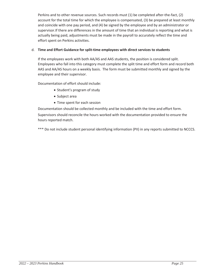Perkins and to other revenue sources. Such records must (1) be completed after-the-fact, (2) account for the total time for which the employee is compensated, (3) be prepared at least monthly and coincide with one pay period, and (4) be signed by the employee and by an administrator or supervisor.If there are differences in the amount of time that an individual is reporting and what is actually being paid, adjustments must be made in the payroll to accurately reflect the time and effort spent on Perkins activities.

#### d. **Time and Effort Guidance for split-time employees with direct services to students**

If the employees work with both AA/AS and AAS students, the position is considered split. Employees who fall into this category must complete the split time and effort form and record both AAS and AA/AS hours on a weekly basis. The form must be submitted monthly and signed by the employee and their supervisor.

Documentation of effort should include:

- Student's program of study
- Subject area
- Time spent for each session

Documentation should be collected monthly and be included with the time and effort form. Supervisors should reconcile the hours worked with the documentation provided to ensure the hours reported match.

\*\*\* Do not include student personal identifying information (PII) in any reports submitted to NCCCS.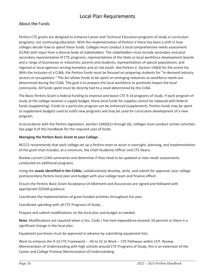## Local Plan Requirements

#### About the Funds

Perkins CTE grants are designed to enhance Career and Technical Education programs of study in curriculum programs, not continuing education. With the implementation of Perkins V there has been a shift in how colleges decide how to spend these funds. Colleges must conduct a local comprehensive needs assessment (CLNA) with input from a diverse body of stakeholders. The stakeholders must include secondary and postsecondary representative of CTE programs; representatives of the State or local workforce development boards and a range of businesses or industries; parents and students; representatives of special populations; and regional or local agencies serving homeless and at-risk youth. See Perkins V, Section 134(d) for the entire list. With the inclusion of a CLNA, the Perkins funds must be focused on preparing students for "in-demand industry sectors or occupations." The Act allows funds to be spent on emerging industries as workforce needs are determined during the CLNA. The goal is to prepare the local workforce to positively impact the local community. All funds spent must be directly tied to a need determined by the CLNA.

The Basic Perkins Grant is federal funding to improve and boost CTE 9-14 programs of study. If each program of study at the college receives a supply budget, these local funds for supplies cannot be replaced with federal funds (supplanting). Funds to a particular program can be enhanced (supplement). Perkins funds may be spent to supplement budgets used to outfit new programs and may be used for curriculum development of a new program.

In accordance with the Perkins legislation, Section 134(b)(1) through (6), colleges must conduct certain activities. See page 9 of this handbook for the required uses of funds.

#### **Managing the Perkins Basic Grant at your College**

NCCCS recommends that each college set up a Perkins team to assist in oversight, planning, and implementation of the grant that includes, at a minimum, the Chief Academic Officer and CTE Deans.

Review current CLNA summaries and determine if they need to be updated or new needs assessments conducted on additional programs.

Using the **needs identified in the CLNAs**, collaboratively develop, write, and submit for approval, your college postsecondary Perkins local plan and budget with your college team and finance officer.

Ensure the Perkins Basic Grant Acceptance of Allotment and Assurances are signed and followed with appropriate EDGAR guidance.

Coordinate the implementation of grant-funded activities throughout the year.

Coordinate spending with all CTE Programs of Study.

Prepare and submit modifications on the local plan and budget as needed.

**Note:** Modifications are required when a Voc. Code / line item expenditure exceeds 10 percent or there is a significant change in the local plan.

Equipment purchases must be approved in advance by submitting equipment lists.

Work to enhance the 9-14 CTE Framework -- HS to CC to Work -- CTE Pathways within CCP. Review Memorandum of Understanding with high schools around CTE Programs of Study, this is an extension of the Career and College Promise Memorandum of Understanding.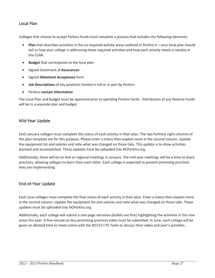#### Local Plan

Colleges that choose to accept Perkins funds must complete a process that includes the following elements:

- **Plan** that describes activities in the six required activity areas outlined in Perkins V your local plan should tell us how your college is addressing these required activities and how each activity meets a need(s) in the CLNA.
- **Budget** that corresponds to the local plan
- x Signed Statement of **Assurances**
- **•** Signed **Allotment Acceptance** form
- **Job Descriptions** of any positions funded in full or in part by Perkins
- Perkins **contact information**

The Local Plan and budget must be approved prior to spending Perkins funds. Distribution of any Reserve Funds will be in a separate plan and budget.

#### Mid-Year Update

Each January colleges must complete the status of each activity in their plan. The two furthest right columns of the plan template are for this purpose. Please enter a status then explain more in the second column. Update the equipment list and salaries and note what was changed on those tabs. This update is to show activities planned and accomplished. These updates must be uploaded into NCPerkins.org.

Additionally, there will be on-line or regional meetings in January. The mid-year meetings will be a time to share practices, allowing colleges to learn from each other. Each college is expected to present promising practices they are implementing.

#### End-of-Year Update

Each June colleges must complete the final status of each activity in their plan. Enter a status then explain more in the second column. Update the equipment list and salaries and note what was changed on those tabs. These updates must be uploaded into NCPerkins.org.

Additionally, each college will submit a one-page narrative (bullets are fine) highlighting the activities in the nine areas this year. A five-minute-or-less promising practices video must be submitted. In June, each college will be given an allotted time to meet online with the NCCCS CTE Team to discuss their video and year's activities.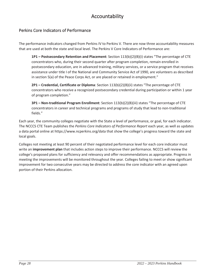# Accountability

#### Perkins Core Indicators of Performance

The performance indicators changed from Perkins IV to Perkins V. There are now three accountability measures that are used at both the state and local level. The Perkins V Core Indicators of Performance are:

**1P1 – Postsecondary Retention and Placement**: Section 113(b)(2)(B)(i) states "The percentage of CTE concentrators who, during their second quarter after program completion, remain enrolled in postsecondary education, are in advanced training, military services, or a service program that receives assistance under title I of the National and Community Service Act of 1990, are volunteers as described in section 5(a) of the Peace Corps Act, or are placed or retained in employment."

**2P1 – Credential, Certificate or Diploma**: Section 113(b)(2)(B)(ii) states "The percentage of CTE concentrators who receive a recognized postsecondary credential during participation or within 1 year of program completion."

**3P1 – Non-traditional Program Enrollment**: Section 113(b)(2)(B)(iii) states "The percentage of CTE concentrators in career and technical programs and programs of study that lead to non-traditional fields."

Each year, the community colleges negotiate with the State a level of performance, or goal, for each indicator. The NCCCS CTE Team publishes the *Perkins Core Indicators of Performance Report* each year, as well as updates a data portal online at https://www.ncperkins.org/data that show the college's progress toward the state and local goals.

Colleges not meeting at least 90 percent of their negotiated performance level for each core indicator must write an **improvement plan** that includes action steps to improve their performance. NCCCS will review the college's proposed plans for sufficiency and relevancy and offer recommendations as appropriate. Progress in meeting the improvements will be monitored throughout the year. Colleges failing to meet or show significant improvement for two consecutive years may be directed to address the core indicator with an agreed upon portion of their Perkins allocation.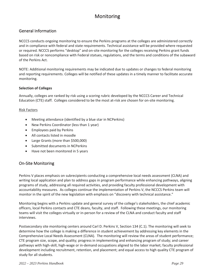# Monitoring

#### General Information

NCCCS conducts ongoing monitoring to ensure the Perkins programs at the colleges are administered correctly and in compliance with federal and state requirements. Technical assistance will be provided where requested or required. NCCCS performs "desktop" and on-site monitoring for the colleges receiving Perkins grant funds based on risk or noncompliance with Federal statues, regulations, and the terms and conditions of the subaward of the Perkins Act.

NOTE: Additional monitoring requirements may be indicated due to updates or changes to federal monitoring and reporting requirements. Colleges will be notified of these updates in a timely manner to facilitate accurate monitoring.

#### **Selection of Colleges**

Annually, colleges are ranked by risk using a scoring rubric developed by the NCCCS Career and Technical Education (CTE) staff. Colleges considered to be the most at-risk are chosen for on-site monitoring.

#### Risk Factors

- Meeting attendance (identified by a blue star in NCPerkins)
- New Perkins Coordinator (less than 1 year)
- **•** Employees paid by Perkins
- All contacts listed in moodle
- Large Grants (more than \$500,000)
- Submitted documents in NCPerkins
- Have not been monitored in 5 years

#### On-Site Monitoring

Perkins V places emphasis on subrecipients conducting a comprehensive local needs assessment (CLNA) and writing local application and plan to address gaps in program performance while enhancing pathways, aligning programs of study, addressing all required activities, and providing faculty professional development with accountability measures. As colleges continue the implementation of Perkins V, the NCCCS Perkins team will monitor in the spirit of the new legislation with emphasis on "discovery with technical assistance."

Monitoring begins with a Perkins update and general survey of the college's stakeholders, the chief academic officers, local Perkins contacts and CTE deans, faculty, and staff. Following these meetings, our monitoring teams will visit the colleges virtually or in-person for a review of the CLNA and conduct faculty and staff interviews.

Postsecondary site monitoring centers around Carl D. Perkins V, Section 134 (C.1). The monitoring will seek to determine how the college is making a difference in student achievement by addressing key elements in the Comprehensive Local Needs Assessment (CLNA). The monitoring will review the areas of student performance; CTE program size, scope, and quality; progress in implementing and enhancing program of study; and career pathways with high-skill, high-wage or in-demand occupations aligned to the labor market; faculty professional development including recruitment, retention, and placement; and equal access to high quality CTE program of study for all students.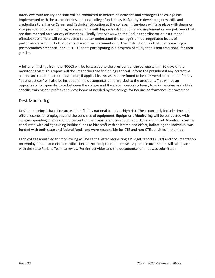Interviews with faculty and staff will be conducted to determine activities and strategies the college has implemented with the use of Perkins and local college funds to assist faculty in developing new skills and credentials to enhance Career and Technical Education at the college. Interviews will take place with deans or vice presidents to learn of progress in working with high schools to outline and implement career pathways that are documented on a variety of matrices. Finally, interviews with the Perkins coordinator or institutional effectiveness officer will be conducted to better understand the college's annual negotiated levels of performance around (1P1) Students placed in employment or further instruction; (2P1) Students earning a postsecondary credential and (3P1) Students participating in a program of study that is non-traditional for their gender.

A letter of findings from the NCCCS will be forwarded to the president of the college within 30 days of the monitoring visit. This report will document the specific findings and will inform the president if any corrective actions are required, and the date due, if applicable. Areas that are found to be commendable or identified as "best practices" will also be included in the documentation forwarded to the president. This will be an opportunity for open dialogue between the college and the state monitoring team, to ask questions and obtain specific training and professional development needed by the college for Perkins performance improvement.

#### Desk Monitoring

Desk monitoring is based on areas identified by national trends as high risk. These currently include time and effort records for employees and the purchase of equipment. **Equipment Monitoring** will be conducted with colleges spending in excess of 65 percent of their basic grant on equipment. **Time and Effort Monitoring** will be conducted with colleges using Perkins funds to hire staff with split time and effort, indicating the individual was funded with both state and federal funds and were responsible for CTE and non-CTE activities in their job.

Each college identified for monitoring will be sent a letter requesting a budget report (XDBR) and documentation on employee time and effort certification and/or equipment purchases. A phone conversation will take place with the state Perkins Team to review Perkins activities and the documentation that was submitted.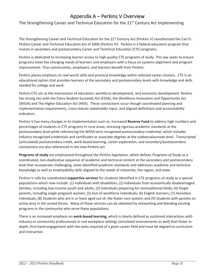# Appendix A – Perkins V Overview

The Strengthening Career and Technical Education for the 21<sup>st</sup> Century Act Implementing

The Strengthening Career and Technical Education for the 21<sup>st</sup> Century Act (Perkins V) reauthorized the Carl D. Perkins Career and Technical Education Act of 2006 (Perkins IV). Perkins is a federal education program that invests in secondary and postsecondary Career and Technical Education (CTE) programs.

Perkins is dedicated to increasing learner access to high quality CTE programs of study. This law seeks to ensure programs meet the changing needs of learners and employers with a focus on systems alignment and program improvement. Thus communities, employers, and learners benefit from Perkins.

Perkins places emphasis on real-world skills and practical knowledge within selected career clusters. CTE is an educational option that provides learners at the secondary and postsecondary levels with knowledge and skills needed for college and work.

Perkins CTE sits at the intersection of education, workforce development, and economic development. Perkins has strong ties with the Every Student Succeeds Act (ESSA), the Workforce Innovation and Opportunity Act (WIOA) and The Higher Education Act (HEA). These connections occur though coordinated planning and implementation requirements, cross-statute stakeholder input, and aligned definitions and accountability indicators.

Perkins V has many changes in its implementation such as: Increased **Reserve Fund** to address high numbers and percentages of students in CTE programs in rural areas; stressing rigorous academic standards at the postsecondary level while referencing the WOIA term *recognized postsecondary credential,* which includes industry-recognized credentials and certificates or associate degrees at the subbaccalaureate level. Transcripted (articulated) postsecondary credit, work-based learning, career exploration, and secondary/postsecondary connections are also referenced in the new Perkins act.

**Programs of study** are emphasized throughout the Perkins legislation, which defines *Programs of Study* as a coordinated, non-duplicative sequence of academic and technical content at the secondary and postsecondary level that incorporate challenging, state-identified academic standards and addresses academic and technical knowledge as well as employability skills aligned to the needs of industries, the region, and state.

Perkins V calls for coordinated **supportive services** for students identified in CTE programs of study as a special populations which now include: (1) Individuals with disabilities; (2) Individuals from economically disadvantaged families, including low-income youth and adults; (3) Individuals preparing for nontraditional fields; (4) Single parents, including single pregnant women; (5) Out-of-workforce individuals; (6) English learners; (7) Homeless individuals; (8) Students who are in or have aged out of, the foster care system; and (9) Students with parents on active duty in the armed forces. Many of these services can be obtained by networking and blending existing programs in the community who serve these populations.

There is an increased emphasis on **work-based learning,** which is clearly defined as sustained interactions with industry or community professionals in real workplace settings (simulated environments as well) that foster indepth, first-hand engagement with the tasks required of a given career field and must be aligned to curriculum and instruction.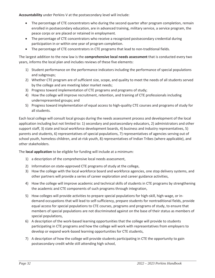**Accountability** under Perkins V at the postsecondary level will include:

- The percentage of CTE concentrators who during the second quarter after program completion, remain enrolled in postsecondary education, are in advanced training, military service, a service program, the peace corps or are placed or retained in employment.
- The percentage of CTE concentrators who receive a recognized postsecondary credential during participation in or within one year of program completion.
- The percentage of CTE concentrators in CTE programs that lead to non-traditional fields.

The largest addition to the new law is the **comprehensive local needs assessment** that is conducted every two years, informs the local plan and includes reviews of these five elements:

- 1) Student performance on the performance indicators including the performance of special populations and subgroups;
- 2) Whether CTE program are of sufficient size, scope, and quality to meet the needs of all students served by the college and are meeting labor market needs;
- 3) Progress toward implementation of CTE programs and programs of study;
- 4) How the college will improve recruitment, retention, and training of CTE professionals including underrepresented groups; and
- 5) Progress toward implementation of equal access to high-quality CTE courses and programs of study for all students.

Each local college will consult local groups during the needs assessment process and development of the local application including but not limited to: 1) secondary and postsecondary educators, 2) administrators and other support staff, 3) state and local workforce development boards, 4) business and industry representatives, 5) parents and students, 6) representatives of special populations, 7) representatives of agencies serving out of school youth, homeless children, and at-risk youth, 8) representatives of Indian Tribes (where applicable), and other stakeholders.

The **local application** to be eligible for funding will include at a minimum:

- 1) a description of the comprehensive local needs assessment,
- 2) Information on state-approved CTE programs of study at the college,
- 3) How the college with the local workforce board and workforce agencies, one stop delivery systems, and other partners will provide a series of career exploration and career guidance activities,
- 4) How the college will improve academic and technical skills of students in CTE programs by strengthening the academic and CTE components of such programs through integration,
- 5) How colleges will provide activities to prepare special populations for high-skill, high-wage, or indemand occupations that will lead to self-sufficiency, prepare students for nontraditional fields, provide equal access for special populations to CTE courses, programs and programs of study, to ensure that members of special populations are not discriminated against on the base of their status as members of special populations,
- 6) A description of the work-based learning opportunities that the college will provide to students participating in CTE programs and how the college will work with representatives from employers to develop or expand work-based learning opportunities for CTE students,
- 7) A description of how the college will provide students participating in CTE the opportunity to gain postsecondary credit while still attending high school,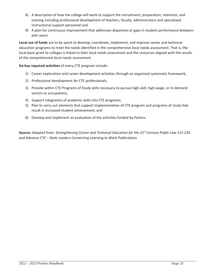- 8) A description of how the college will work to support the recruitment, preparation, retention, and training including professional development of teachers, faculty, administrators and specialized instructional support personnel and
- 9) A plan for continuous improvement that addresses disparities or gaps in student performance between plan years.

**Local use of funds** are to be spent to develop, coordinate, implement, and improve career and technical education programs to meet the needs identified in the comprehensive local needs assessment. That is, the local basic grant to colleges is linked to their local needs assessment and the resources aligned with the results of the comprehensive local needs assessment.

**Six key required activities** of every CTE program include:

- 1) Career exploration and career development activities through an organized systematic framework,
- 2) Professional development for CTE professionals,
- 3) Provide within CTE Programs of Study skills necessary to pursue high-skill, high-wage, or in-demand sectors or occupations,
- 4) Support integration of academic skills into CTE programs;
- 5) Plan to carry out elements that support implementation of CTE program and programs of study that result in increased student achievement, and
- 6) Develop and implement an evaluation of the activities funded by Perkins.

**Source:** Adapted from: *Strengthening Career and Technical Education for the 21st Century Public Law 115-224 and Advance CTE – State Leaders Connecting Learning to Work Publications*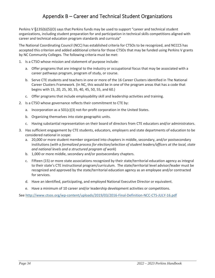# Appendix B – Career and Technical Student Organizations

Perkins V §135(b)(5)(O) says that Perkins funds may be used to support "career and technical student organizations, including student preparation for and participation in technical skills competitions aligned with career and technical education program standards and curricula"

The National Coordinating Council (NCC) has established criteria for CTSOs to be recognized, and NCCCS has accepted this criterion and added additional criteria for those CTSOs that may be funded using Perkins V grants by NC Community Colleges. The following criteria must be met:

- 1. Is a CTSO whose mission and statement of purpose include:
	- a. Offer programs that are integral to the industry or occupational focus that may be associated with a career pathways program, program of study, or course.
	- b. Serve CTE students and teachers in one or more of the 16 Career Clusters identified in The National Career Clusters Framework. (In NC, this would be in one of the program areas that has a code that begins with 15, 20, 25, 30, 35, 40, 45, 50, 55, and 60.)
	- c. Offer programs that include employability skill and leadership activities and training.
- 2. Is a CTSO whose governance reflects their commitment to CTE by:
	- a. Incorporation as a 501(c)(3) not-for-profit corporation in the United States.
	- b. Organizing themselves into state geographic units.
	- c. Having substantial representation on their board of directors from CTE educators and/or administrators.
- 3. Has sufficient engagement by CTE students, educators, employers and state departments of education to be considered national in scope:
	- a. 20,000 or more student member organized into chapters in middle, secondary, and/or postsecondary institutions (*with a formalized process for election/selection of student leaders/officers at the local, state and national levels and a structured program of work*)
	- b. 1,000 or more middle, secondary and/or postsecondary chapters.
	- c. Fifteen (15) or more state associations recognized by their state/territorial education agency as integral to their state's CTE instructional program/curriculum. The state/territorial level advisor/leader must be recognized and approved by the state/territorial education agency as an employee and/or contracted for services.
	- d. Have an identified, participating, and employed National Executive Director or equivalent.
	- e. Have a minimum of 10 career and/or leadership development activities or competitions.

See http://www.ctsos.org/wp-content/uploads/2019/03/2016-Final-Definition-NCC-CTS-JULY-16.pdf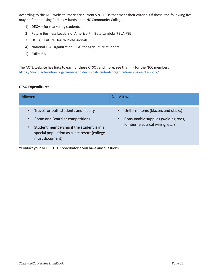According to the NCC website, there are currently 8 CTSOs that meet their criteria. Of those, the following five may be funded using Perkins V funds at an NC Community College:

- 1) DECA for marketing students.
- 2) Future Business Leaders of America-Phi Beta Lambda (FBLA-PBL)
- 3) HOSA Future Health Professionals
- 4) National FFA Organization (FFA) for agriculture students
- 5) SkillsUSA

The ACTE website has links to each of these CTSOs and more, see this link for the NCC members https://www.acteonline.org/career-and-technical-student-organizations-make-cte-work/

#### **CTSO Expenditures**

| Allowed                                                                                                                                                                                                                      | <b>Not Allowed</b>                                                                                                                     |  |  |  |
|------------------------------------------------------------------------------------------------------------------------------------------------------------------------------------------------------------------------------|----------------------------------------------------------------------------------------------------------------------------------------|--|--|--|
| Travel for both students and faculty<br>$\bullet$<br>Room and Board at competitions<br>$\bullet$<br>Student membership if the student is in a<br>$\bullet$<br>special population as a last resort (college<br>must document) | Uniform items (blazers and slacks)<br>$\bullet$<br>Consumable supplies (welding rods,<br>$\bullet$<br>lumber, electrical wiring, etc.) |  |  |  |

\*Contact your NCCCS CTE Coordinator if you have any questions.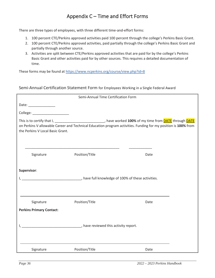# Appendix C – Time and Effort Forms

There are three types of employees, with three different time-and-effort forms:

- 1. 100 percent CTE/Perkins approved activities paid 100 percent through the college's Perkins Basic Grant.
- 2. 100 percent CTE/Perkins approved activities, paid partially through the college's Perkins Basic Grant and partially through another source.
- 3. Activities are split between CTE/Perkins approved activities that are paid for by the college's Perkins Basic Grant and other activities paid for by other sources. This requires a detailed documentation of time.

These forms may be found at https://www.ncperkins.org/course/view.php?id=8

#### Semi-Annual Certification Statement Form for Employees Working in a Single Federal Award

| Semi-Annual Time Certification Form                                                                                                                                                                                                                                                |                |      |  |  |  |  |  |  |  |
|------------------------------------------------------------------------------------------------------------------------------------------------------------------------------------------------------------------------------------------------------------------------------------|----------------|------|--|--|--|--|--|--|--|
| Date: _________________                                                                                                                                                                                                                                                            |                |      |  |  |  |  |  |  |  |
|                                                                                                                                                                                                                                                                                    |                |      |  |  |  |  |  |  |  |
| This is to certify that I, _______________________________, have worked 100% of my time from <b>DATE</b> through <b>DATE</b><br>on Perkins V allowable Career and Technical Education program activities. Funding for my position is 100% from<br>the Perkins V Local Basic Grant. |                |      |  |  |  |  |  |  |  |
| Signature                                                                                                                                                                                                                                                                          | Position/Title | Date |  |  |  |  |  |  |  |
| Supervisor:                                                                                                                                                                                                                                                                        |                |      |  |  |  |  |  |  |  |
|                                                                                                                                                                                                                                                                                    |                |      |  |  |  |  |  |  |  |
| Signature                                                                                                                                                                                                                                                                          | Position/Title | Date |  |  |  |  |  |  |  |
| <b>Perkins Primary Contact:</b>                                                                                                                                                                                                                                                    |                |      |  |  |  |  |  |  |  |
|                                                                                                                                                                                                                                                                                    |                |      |  |  |  |  |  |  |  |
| Signature                                                                                                                                                                                                                                                                          | Position/Title | Date |  |  |  |  |  |  |  |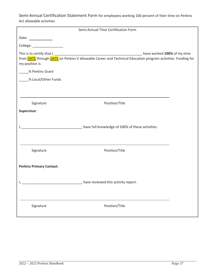Semi-Annual Certification Statement Form for employees working 100 percent of their time on Perkins Act allowable activities

| Semi-Annual Time Certification Form |                                                                 |  |  |  |  |  |  |
|-------------------------------------|-----------------------------------------------------------------|--|--|--|--|--|--|
| Date: $\qquad \qquad$               |                                                                 |  |  |  |  |  |  |
|                                     |                                                                 |  |  |  |  |  |  |
| my position is                      |                                                                 |  |  |  |  |  |  |
| % Perkins Grant                     |                                                                 |  |  |  |  |  |  |
| % Local/Other Funds                 |                                                                 |  |  |  |  |  |  |
|                                     |                                                                 |  |  |  |  |  |  |
| Signature                           | Position/Title                                                  |  |  |  |  |  |  |
| Supervisor:                         |                                                                 |  |  |  |  |  |  |
|                                     | The Series Corollate of 100% of these activities.               |  |  |  |  |  |  |
| Signature                           | Position/Title                                                  |  |  |  |  |  |  |
| <b>Perkins Primary Contact:</b>     | __________________________, have reviewed this activity report. |  |  |  |  |  |  |
| Signature                           | Position/Title                                                  |  |  |  |  |  |  |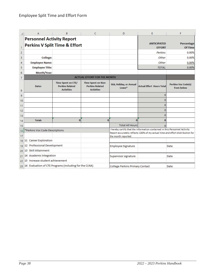|          | A                                                                            | B                                                                        | C                                                                        | D                                                                                                                                                                                  | E                                   | F                                        |
|----------|------------------------------------------------------------------------------|--------------------------------------------------------------------------|--------------------------------------------------------------------------|------------------------------------------------------------------------------------------------------------------------------------------------------------------------------------|-------------------------------------|------------------------------------------|
|          | <b>Personnel Activity Report</b><br><b>Perkins V Split Time &amp; Effort</b> |                                                                          |                                                                          |                                                                                                                                                                                    | <b>ANTICIPATED</b><br><b>EFFORT</b> | Percentage<br>Of Time                    |
| 2        |                                                                              |                                                                          |                                                                          |                                                                                                                                                                                    | Perkins                             | 0.00%                                    |
| 3        | College:                                                                     |                                                                          |                                                                          |                                                                                                                                                                                    | Other                               | 0.00%                                    |
| 4        | <b>Employee Name:</b>                                                        |                                                                          |                                                                          |                                                                                                                                                                                    | Other                               | 0.00%                                    |
| 5        | <b>Employee Title:</b>                                                       |                                                                          |                                                                          |                                                                                                                                                                                    | <b>TOTAL</b>                        | 0.00%                                    |
| 6        | Month/Year:                                                                  |                                                                          |                                                                          |                                                                                                                                                                                    |                                     |                                          |
| 7        |                                                                              |                                                                          | <b>ACTUAL EFFORT FOR THE MONTH</b>                                       |                                                                                                                                                                                    |                                     |                                          |
| 8        | Dates                                                                        | <b>Time Spent on CTE/</b><br><b>Perkins Related</b><br><b>Activities</b> | <b>Time Spent on Non-</b><br><b>Perkins Related</b><br><b>Activities</b> | Sick, Holiday, or Annual<br>$L$ eave $*$                                                                                                                                           | <b>Actual Effort Hours Total</b>    | <b>Perkins Voc Code(s)</b><br>from below |
| 9        |                                                                              |                                                                          |                                                                          |                                                                                                                                                                                    | $\overline{0}$                      |                                          |
| 10       |                                                                              |                                                                          |                                                                          |                                                                                                                                                                                    | $\Omega$                            |                                          |
| 11       |                                                                              |                                                                          |                                                                          |                                                                                                                                                                                    | 0                                   |                                          |
| 12       |                                                                              |                                                                          |                                                                          |                                                                                                                                                                                    | $\Omega$                            |                                          |
| 13       |                                                                              |                                                                          |                                                                          |                                                                                                                                                                                    | $\mathbf 0$                         |                                          |
| 14       | <b>Totals</b>                                                                | $\bf{0}$                                                                 | $\Omega$                                                                 | $\Omega$                                                                                                                                                                           | $\bf{0}$                            |                                          |
| 15       |                                                                              |                                                                          |                                                                          | <b>Total All Hours</b>                                                                                                                                                             |                                     |                                          |
| 16<br>17 | *Perkins Voc Code Descriptions                                               |                                                                          |                                                                          | I hereby certify that the information contained in this Personnel Activity<br>Report accurately reflects 100% of my actual time and effort distribution for<br>the month reported. |                                     |                                          |
|          | 18 11 Career Exploration                                                     |                                                                          |                                                                          |                                                                                                                                                                                    |                                     |                                          |
|          | 19 12 Professional Development                                               |                                                                          |                                                                          | Employee Signature                                                                                                                                                                 |                                     | Date                                     |
|          | 20 13 Skill Attainment                                                       |                                                                          |                                                                          |                                                                                                                                                                                    |                                     |                                          |
| 21       | 14 Academic Integration                                                      |                                                                          |                                                                          | Supervisor signature                                                                                                                                                               |                                     | Date                                     |
|          | 22 15 Increase student achievement                                           |                                                                          |                                                                          |                                                                                                                                                                                    |                                     |                                          |
|          | 23 16 Evaluation of CTE Programs (including for the CLNA)                    |                                                                          |                                                                          | College Perkins Primary Contact                                                                                                                                                    |                                     | Date                                     |